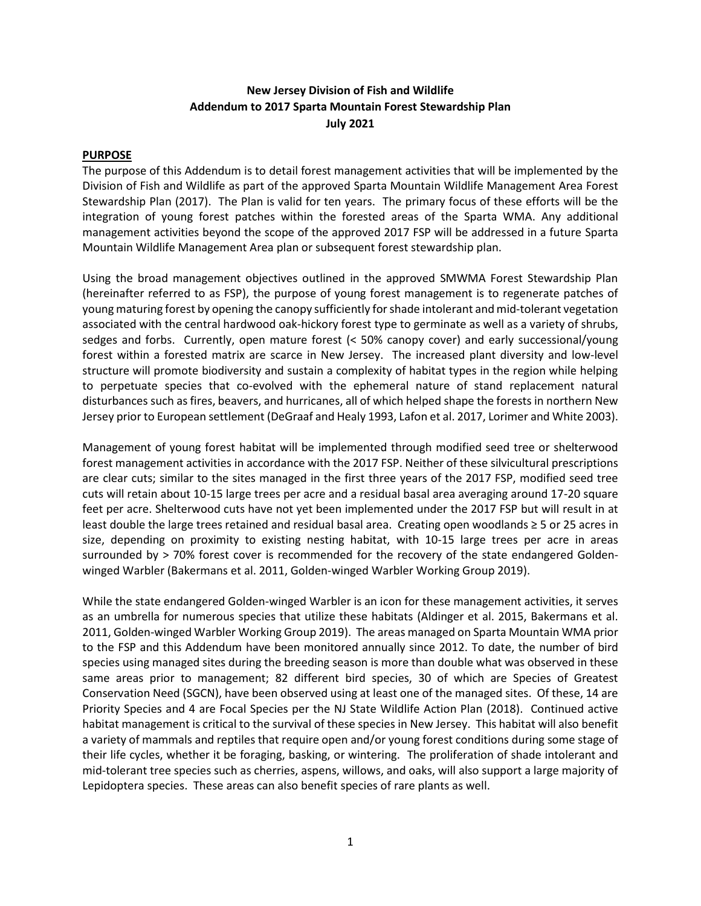# **New Jersey Division of Fish and Wildlife Addendum to 2017 Sparta Mountain Forest Stewardship Plan July 2021**

### **PURPOSE**

The purpose of this Addendum is to detail forest management activities that will be implemented by the Division of Fish and Wildlife as part of the approved Sparta Mountain Wildlife Management Area Forest Stewardship Plan (2017). The Plan is valid for ten years. The primary focus of these efforts will be the integration of young forest patches within the forested areas of the Sparta WMA. Any additional management activities beyond the scope of the approved 2017 FSP will be addressed in a future Sparta Mountain Wildlife Management Area plan or subsequent forest stewardship plan.

Using the broad management objectives outlined in the approved SMWMA Forest Stewardship Plan (hereinafter referred to as FSP), the purpose of young forest management is to regenerate patches of young maturing forest by opening the canopy sufficiently for shade intolerant and mid-tolerant vegetation associated with the central hardwood oak-hickory forest type to germinate as well as a variety of shrubs, sedges and forbs. Currently, open mature forest (< 50% canopy cover) and early successional/young forest within a forested matrix are scarce in New Jersey. The increased plant diversity and low-level structure will promote biodiversity and sustain a complexity of habitat types in the region while helping to perpetuate species that co-evolved with the ephemeral nature of stand replacement natural disturbances such as fires, beavers, and hurricanes, all of which helped shape the forests in northern New Jersey prior to European settlement (DeGraaf and Healy 1993, Lafon et al. 2017, Lorimer and White 2003).

Management of young forest habitat will be implemented through modified seed tree or shelterwood forest management activities in accordance with the 2017 FSP. Neither of these silvicultural prescriptions are clear cuts; similar to the sites managed in the first three years of the 2017 FSP, modified seed tree cuts will retain about 10-15 large trees per acre and a residual basal area averaging around 17-20 square feet per acre. Shelterwood cuts have not yet been implemented under the 2017 FSP but will result in at least double the large trees retained and residual basal area. Creating open woodlands ≥ 5 or 25 acres in size, depending on proximity to existing nesting habitat, with 10-15 large trees per acre in areas surrounded by > 70% forest cover is recommended for the recovery of the state endangered Goldenwinged Warbler (Bakermans et al. 2011, Golden-winged Warbler Working Group 2019).

While the state endangered Golden-winged Warbler is an icon for these management activities, it serves as an umbrella for numerous species that utilize these habitats (Aldinger et al. 2015, Bakermans et al. 2011, Golden-winged Warbler Working Group 2019). The areas managed on Sparta Mountain WMA prior to the FSP and this Addendum have been monitored annually since 2012. To date, the number of bird species using managed sites during the breeding season is more than double what was observed in these same areas prior to management; 82 different bird species, 30 of which are Species of Greatest Conservation Need (SGCN), have been observed using at least one of the managed sites. Of these, 14 are Priority Species and 4 are Focal Species per the NJ State Wildlife Action Plan (2018). Continued active habitat management is critical to the survival of these species in New Jersey. This habitat will also benefit a variety of mammals and reptiles that require open and/or young forest conditions during some stage of their life cycles, whether it be foraging, basking, or wintering. The proliferation of shade intolerant and mid-tolerant tree species such as cherries, aspens, willows, and oaks, will also support a large majority of Lepidoptera species. These areas can also benefit species of rare plants as well.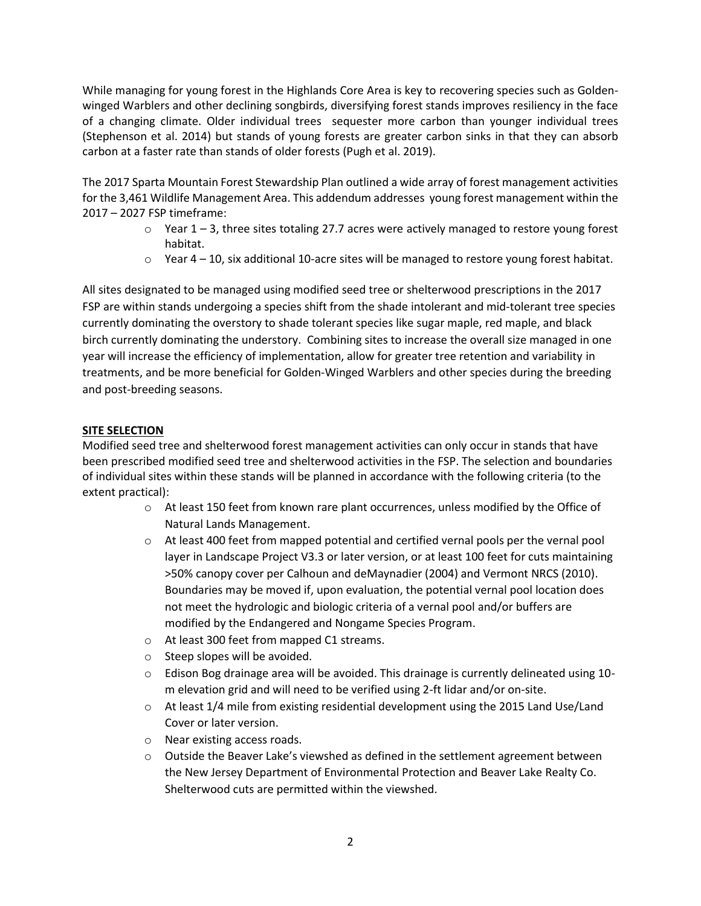While managing for young forest in the Highlands Core Area is key to recovering species such as Goldenwinged Warblers and other declining songbirds, diversifying forest stands improves resiliency in the face of a changing climate. Older individual trees sequester more carbon than younger individual trees (Stephenson et al. 2014) but stands of young forests are greater carbon sinks in that they can absorb carbon at a faster rate than stands of older forests (Pugh et al. 2019).

The 2017 Sparta Mountain Forest Stewardship Plan outlined a wide array of forest management activities for the 3,461 Wildlife Management Area. This addendum addresses young forest management within the 2017 – 2027 FSP timeframe:

- $\circ$  Year 1 3, three sites totaling 27.7 acres were actively managed to restore young forest habitat.
- $\circ$  Year 4 10, six additional 10-acre sites will be managed to restore young forest habitat.

All sites designated to be managed using modified seed tree or shelterwood prescriptions in the 2017 FSP are within stands undergoing a species shift from the shade intolerant and mid-tolerant tree species currently dominating the overstory to shade tolerant species like sugar maple, red maple, and black birch currently dominating the understory. Combining sites to increase the overall size managed in one year will increase the efficiency of implementation, allow for greater tree retention and variability in treatments, and be more beneficial for Golden-Winged Warblers and other species during the breeding and post-breeding seasons.

### **SITE SELECTION**

Modified seed tree and shelterwood forest management activities can only occur in stands that have been prescribed modified seed tree and shelterwood activities in the FSP. The selection and boundaries of individual sites within these stands will be planned in accordance with the following criteria (to the extent practical):

- $\circ$  At least 150 feet from known rare plant occurrences, unless modified by the Office of Natural Lands Management.
- o At least 400 feet from mapped potential and certified vernal pools per the vernal pool layer in Landscape Project V3.3 or later version, or at least 100 feet for cuts maintaining >50% canopy cover per Calhoun and deMaynadier (2004) and Vermont NRCS (2010). Boundaries may be moved if, upon evaluation, the potential vernal pool location does not meet the hydrologic and biologic criteria of a vernal pool and/or buffers are modified by the Endangered and Nongame Species Program.
- o At least 300 feet from mapped C1 streams.
- o Steep slopes will be avoided.
- $\circ$  Edison Bog drainage area will be avoided. This drainage is currently delineated using 10m elevation grid and will need to be verified using 2-ft lidar and/or on-site.
- $\circ$  At least 1/4 mile from existing residential development using the 2015 Land Use/Land Cover or later version.
- o Near existing access roads.
- $\circ$  Outside the Beaver Lake's viewshed as defined in the settlement agreement between the New Jersey Department of Environmental Protection and Beaver Lake Realty Co. Shelterwood cuts are permitted within the viewshed.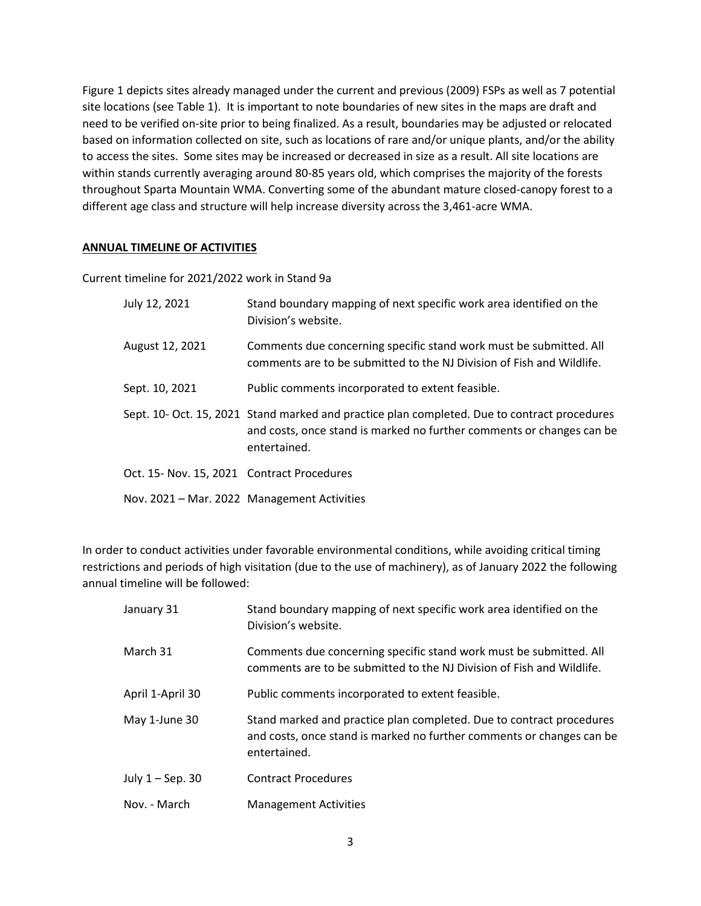Figure 1 depicts sites already managed under the current and previous (2009) FSPs as well as 7 potential site locations (see Table 1). It is important to note boundaries of new sites in the maps are draft and need to be verified on-site prior to being finalized. As a result, boundaries may be adjusted or relocated based on information collected on site, such as locations of rare and/or unique plants, and/or the ability to access the sites. Some sites may be increased or decreased in size as a result. All site locations are within stands currently averaging around 80-85 years old, which comprises the majority of the forests throughout Sparta Mountain WMA. Converting some of the abundant mature closed-canopy forest to a different age class and structure will help increase diversity across the 3,461-acre WMA.

#### **ANNUAL TIMELINE OF ACTIVITIES**

Current timeline for 2021/2022 work in Stand 9a

| July 12, 2021                              | Stand boundary mapping of next specific work area identified on the<br>Division's website.                                                                                            |
|--------------------------------------------|---------------------------------------------------------------------------------------------------------------------------------------------------------------------------------------|
| August 12, 2021                            | Comments due concerning specific stand work must be submitted. All<br>comments are to be submitted to the NJ Division of Fish and Wildlife.                                           |
| Sept. 10, 2021                             | Public comments incorporated to extent feasible.                                                                                                                                      |
|                                            | Sept. 10- Oct. 15, 2021 Stand marked and practice plan completed. Due to contract procedures<br>and costs, once stand is marked no further comments or changes can be<br>entertained. |
| Oct. 15- Nov. 15, 2021 Contract Procedures |                                                                                                                                                                                       |
|                                            | Nov. 2021 – Mar. 2022 Management Activities                                                                                                                                           |

In order to conduct activities under favorable environmental conditions, while avoiding critical timing restrictions and periods of high visitation (due to the use of machinery), as of January 2022 the following annual timeline will be followed:

| January 31       | Stand boundary mapping of next specific work area identified on the<br>Division's website.                                                                    |
|------------------|---------------------------------------------------------------------------------------------------------------------------------------------------------------|
| March 31         | Comments due concerning specific stand work must be submitted. All<br>comments are to be submitted to the NJ Division of Fish and Wildlife.                   |
| April 1-April 30 | Public comments incorporated to extent feasible.                                                                                                              |
| May 1-June 30    | Stand marked and practice plan completed. Due to contract procedures<br>and costs, once stand is marked no further comments or changes can be<br>entertained. |
| July 1 - Sep. 30 | <b>Contract Procedures</b>                                                                                                                                    |
| Nov. - March     | <b>Management Activities</b>                                                                                                                                  |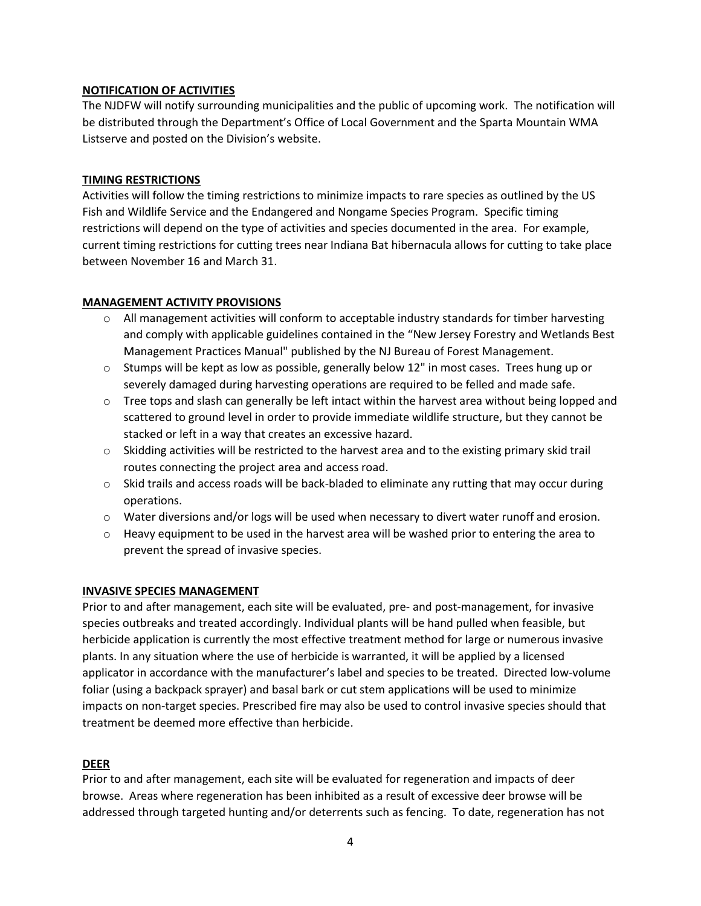### **NOTIFICATION OF ACTIVITIES**

The NJDFW will notify surrounding municipalities and the public of upcoming work. The notification will be distributed through the Department's Office of Local Government and the Sparta Mountain WMA Listserve and posted on the Division's website.

# **TIMING RESTRICTIONS**

Activities will follow the timing restrictions to minimize impacts to rare species as outlined by the US Fish and Wildlife Service and the Endangered and Nongame Species Program. Specific timing restrictions will depend on the type of activities and species documented in the area. For example, current timing restrictions for cutting trees near Indiana Bat hibernacula allows for cutting to take place between November 16 and March 31.

# **MANAGEMENT ACTIVITY PROVISIONS**

- $\circ$  All management activities will conform to acceptable industry standards for timber harvesting and comply with applicable guidelines contained in the "New Jersey Forestry and Wetlands Best Management Practices Manual" published by the NJ Bureau of Forest Management.
- $\circ$  Stumps will be kept as low as possible, generally below 12" in most cases. Trees hung up or severely damaged during harvesting operations are required to be felled and made safe.
- $\circ$  Tree tops and slash can generally be left intact within the harvest area without being lopped and scattered to ground level in order to provide immediate wildlife structure, but they cannot be stacked or left in a way that creates an excessive hazard.
- o Skidding activities will be restricted to the harvest area and to the existing primary skid trail routes connecting the project area and access road.
- $\circ$  Skid trails and access roads will be back-bladed to eliminate any rutting that may occur during operations.
- $\circ$  Water diversions and/or logs will be used when necessary to divert water runoff and erosion.
- $\circ$  Heavy equipment to be used in the harvest area will be washed prior to entering the area to prevent the spread of invasive species.

### **INVASIVE SPECIES MANAGEMENT**

Prior to and after management, each site will be evaluated, pre- and post-management, for invasive species outbreaks and treated accordingly. Individual plants will be hand pulled when feasible, but herbicide application is currently the most effective treatment method for large or numerous invasive plants. In any situation where the use of herbicide is warranted, it will be applied by a licensed applicator in accordance with the manufacturer's label and species to be treated. Directed low-volume foliar (using a backpack sprayer) and basal bark or cut stem applications will be used to minimize impacts on non-target species. Prescribed fire may also be used to control invasive species should that treatment be deemed more effective than herbicide.

### **DEER**

Prior to and after management, each site will be evaluated for regeneration and impacts of deer browse. Areas where regeneration has been inhibited as a result of excessive deer browse will be addressed through targeted hunting and/or deterrents such as fencing. To date, regeneration has not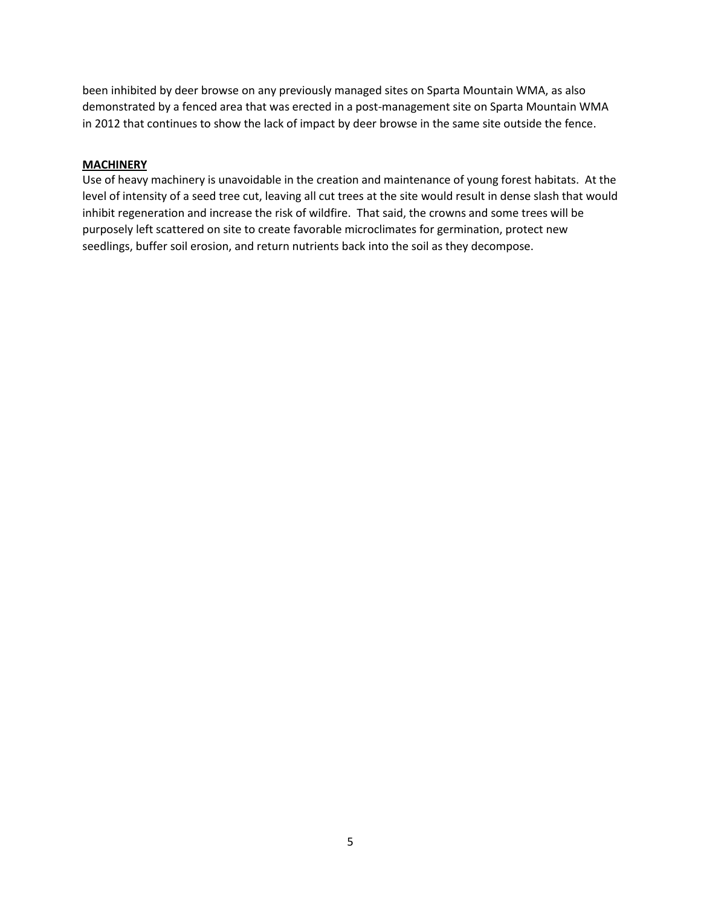been inhibited by deer browse on any previously managed sites on Sparta Mountain WMA, as also demonstrated by a fenced area that was erected in a post-management site on Sparta Mountain WMA in 2012 that continues to show the lack of impact by deer browse in the same site outside the fence.

### **MACHINERY**

Use of heavy machinery is unavoidable in the creation and maintenance of young forest habitats. At the level of intensity of a seed tree cut, leaving all cut trees at the site would result in dense slash that would inhibit regeneration and increase the risk of wildfire. That said, the crowns and some trees will be purposely left scattered on site to create favorable microclimates for germination, protect new seedlings, buffer soil erosion, and return nutrients back into the soil as they decompose.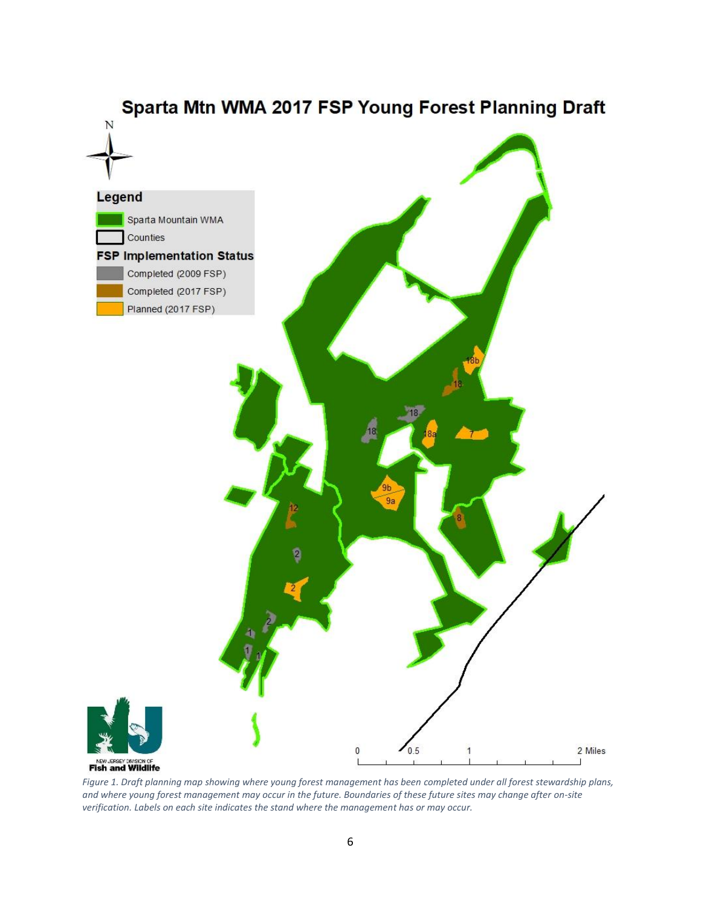

*Figure 1. Draft planning map showing where young forest management has been completed under all forest stewardship plans, and where young forest management may occur in the future. Boundaries of these future sites may change after on-site verification. Labels on each site indicates the stand where the management has or may occur.*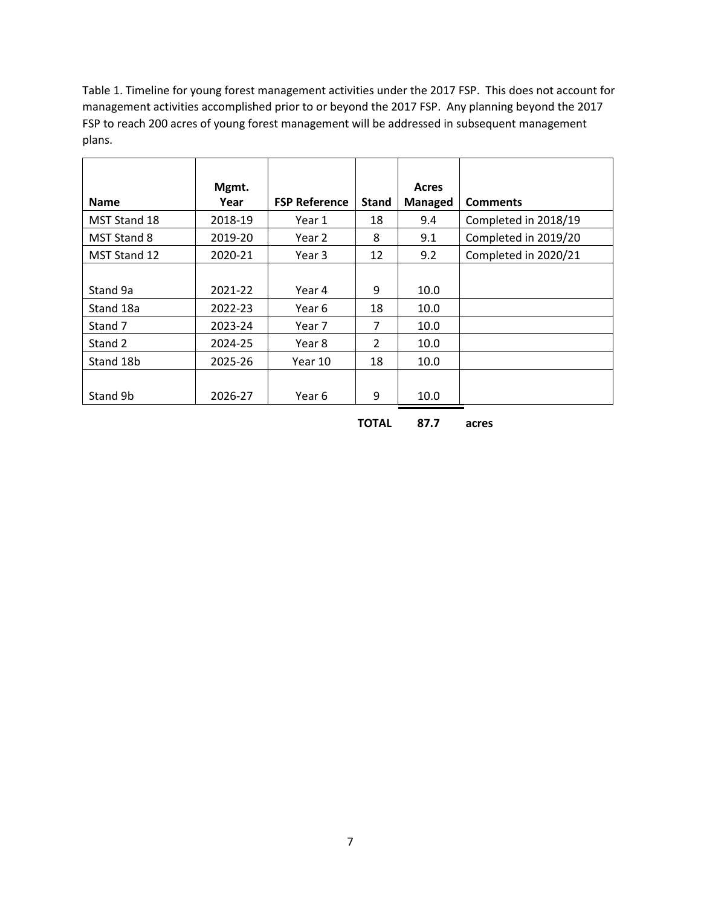Table 1. Timeline for young forest management activities under the 2017 FSP. This does not account for management activities accomplished prior to or beyond the 2017 FSP. Any planning beyond the 2017 FSP to reach 200 acres of young forest management will be addressed in subsequent management plans.

|                     | Mgmt.   |                      |               | Acres   |                      |
|---------------------|---------|----------------------|---------------|---------|----------------------|
| <b>Name</b>         | Year    | <b>FSP Reference</b> | <b>Stand</b>  | Managed | <b>Comments</b>      |
| <b>MST Stand 18</b> | 2018-19 | Year 1               | 18            | 9.4     | Completed in 2018/19 |
| <b>MST Stand 8</b>  | 2019-20 | Year 2               | 8             | 9.1     | Completed in 2019/20 |
| MST Stand 12        | 2020-21 | Year 3               | 12            | 9.2     | Completed in 2020/21 |
|                     |         |                      |               |         |                      |
| Stand 9a            | 2021-22 | Year 4               | 9             | 10.0    |                      |
| Stand 18a           | 2022-23 | Year 6               | 18            | 10.0    |                      |
| Stand 7             | 2023-24 | Year 7               | 7             | 10.0    |                      |
| Stand 2             | 2024-25 | Year 8               | $\mathcal{P}$ | 10.0    |                      |
| Stand 18b           | 2025-26 | Year 10              | 18            | 10.0    |                      |
|                     |         |                      |               |         |                      |
| Stand 9b            | 2026-27 | Year 6               | 9             | 10.0    |                      |

**TOTAL 87.7 acres**